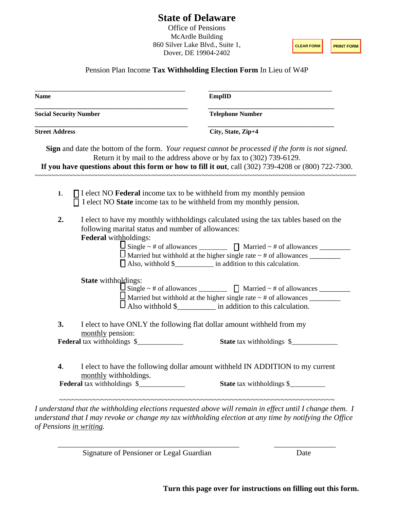## **State of Delaware**

Office of Pensions McArdle Building 860 Silver Lake Blvd., Suite 1, Dover, DE 19904-2402

**CLEAR FORM PRINT FORM**

Pension Plan Income **Tax Withholding Election Form** In Lieu of W4P

| <b>Name</b><br><b>Social Security Number</b><br><b>Street Address</b> |                                                                                            | EmplID<br><b>Telephone Number</b><br>City, State, Zip+4                                                                                                   |    |  |                                                                                                                                                                                                                                                                                 |
|-----------------------------------------------------------------------|--------------------------------------------------------------------------------------------|-----------------------------------------------------------------------------------------------------------------------------------------------------------|----|--|---------------------------------------------------------------------------------------------------------------------------------------------------------------------------------------------------------------------------------------------------------------------------------|
|                                                                       |                                                                                            |                                                                                                                                                           |    |  | Sign and date the bottom of the form. Your request cannot be processed if the form is not signed.<br>Return it by mail to the address above or by fax to (302) 739-6129.<br>If you have questions about this form or how to fill it out, call (302) 739-4208 or (800) 722-7300. |
|                                                                       |                                                                                            |                                                                                                                                                           | 1. |  | $\prod$ I elect NO <b>Federal</b> income tax to be withheld from my monthly pension<br>$\Box$ I elect NO State income tax to be withheld from my monthly pension.                                                                                                               |
| 2.                                                                    | following marital status and number of allowances:<br>Federal withholdings:                | I elect to have my monthly withholdings calculated using the tax tables based on the<br>Also, withhold \$_______________ in addition to this calculation. |    |  |                                                                                                                                                                                                                                                                                 |
|                                                                       | <b>State</b> withholdings:                                                                 | $\Box$ Also withhold $\$\underline{\hspace{1cm}}$ in addition to this calculation.                                                                        |    |  |                                                                                                                                                                                                                                                                                 |
| 3.                                                                    | I elect to have ONLY the following flat dollar amount withheld from my<br>monthly pension: |                                                                                                                                                           |    |  |                                                                                                                                                                                                                                                                                 |
|                                                                       | Federal tax withholdings \$                                                                | State tax withholdings \$                                                                                                                                 |    |  |                                                                                                                                                                                                                                                                                 |
|                                                                       |                                                                                            | I elect to have the following dollar amount withheld IN ADDITION to my current                                                                            |    |  |                                                                                                                                                                                                                                                                                 |
| $\overline{4}$ .                                                      | monthly withholdings.<br>Federal tax withholdings \$                                       | State tax withholdings \$                                                                                                                                 |    |  |                                                                                                                                                                                                                                                                                 |

*understand that I may revoke or change my tax withholding election at any time by notifying the Office of Pensions in writing.* 

\_\_\_\_\_\_\_\_\_\_\_\_\_\_\_\_\_\_\_\_\_\_\_\_\_\_\_\_\_\_\_\_\_\_\_\_\_\_\_\_\_\_\_\_\_\_\_ \_\_\_\_\_\_\_\_\_\_\_\_\_\_\_\_

Signature of Pensioner or Legal Guardian Date